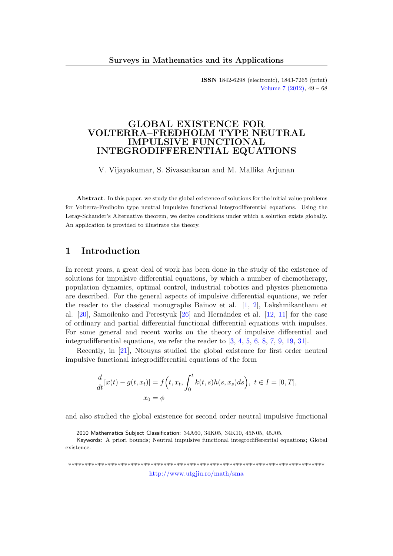ISSN 1842-6298 (electronic), 1843-7265 (print) [Volume 7 \(2012\),](http://www.utgjiu.ro/math/sma/v07/v07.html) 49 – 68

## GLOBAL EXISTENCE FOR VOLTERRA–FREDHOLM TYPE NEUTRAL IMPULSIVE FUNCTIONAL INTEGRODIFFERENTIAL EQUATIONS

V. Vijayakumar, S. Sivasankaran and M. Mallika Arjunan

Abstract. In this paper, we study the global existence of solutions for the initial value problems for Volterra-Fredholm type neutral impulsive functional integrodifferential equations. Using the Leray-Schauder's Alternative theorem, we derive conditions under which a solution exists globally. An application is provided to illustrate the theory.

# 1 Introduction

In recent years, a great deal of work has been done in the study of the existence of solutions for impulsive differential equations, by which a number of chemotherapy, population dynamics, optimal control, industrial robotics and physics phenomena are described. For the general aspects of impulsive differential equations, we refer the reader to the classical monographs Bainov et al. [\[1,](#page-16-0) [2\]](#page-16-1), Lakshmikantham et al.  $[20]$ , Samoilenko and Perestyuk  $[26]$  and Hernández et al.  $[12, 11]$  $[12, 11]$  $[12, 11]$  for the case of ordinary and partial differential functional differential equations with impulses. For some general and recent works on the theory of impulsive differential and integrodifferential equations, we refer the reader to [\[3,](#page-16-2) [4,](#page-16-3) [5,](#page-16-4) [6,](#page-17-2) [8,](#page-17-3) [7,](#page-17-4) [9,](#page-17-5) [19,](#page-18-2) [31\]](#page-19-0).

Recently, in [\[21\]](#page-18-3), Ntouyas studied the global existence for first order neutral impulsive functional integrodifferential equations of the form

$$
\frac{d}{dt}[x(t) - g(t, x_t)] = f\left(t, x_t, \int_0^t k(t, s)h(s, x_s)ds\right), \ t \in I = [0, T],
$$

$$
x_0 = \phi
$$

and also studied the global existence for second order neutral impulsive functional

\*\*\*\*\*\*\*\*\*\*\*\*\*\*\*\*\*\*\*\*\*\*\*\*\*\*\*\*\*\*\*\*\*\*\*\*\*\*\*\*\*\*\*\*\*\*\*\*\*\*\*\*\*\*\*\*\*\*\*\*\*\*\*\*\*\*\*\*\*\*\*\*\*\*\*\*\*\* <http://www.utgjiu.ro/math/sma>

<sup>2010</sup> Mathematics Subject Classification: 34A60, 34K05, 34K10, 45N05, 45J05.

Keywords: A priori bounds; Neutral impulsive functional integrodifferential equations; Global existence.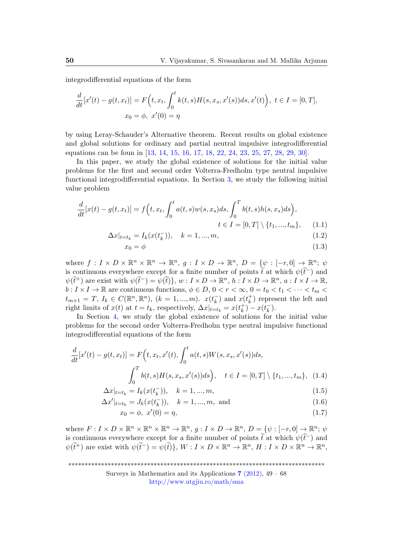integrodifferential equations of the form

$$
\frac{d}{dt}[x'(t) - g(t, x_t)] = F(t, x_t, \int_0^t k(t, s)H(s, x_s, x'(s))ds, x'(t)), \ t \in I = [0, T],
$$
  

$$
x_0 = \phi, \ x'(0) = \eta
$$

by using Leray-Schauder's Alternative theorem. Recent results on global existence and global solutions for ordinary and partial neutral impulsive integrodifferential equations can be foun in [\[13,](#page-17-6) [14,](#page-17-7) [15,](#page-17-8) [16,](#page-17-9) [17,](#page-18-4) [18,](#page-18-5) [22,](#page-18-6) [24,](#page-18-7) [23,](#page-18-8) [25,](#page-18-9) [27,](#page-18-10) [28,](#page-18-11) [29,](#page-19-1) [30\]](#page-19-2).

In this paper, we study the global existence of solutions for the initial value problems for the first and second order Volterra-Fredholm type neutral impulsive functional integrodifferential equations. In Section [3,](#page-3-0) we study the following initial value problem

$$
\frac{d}{dt}[x(t) - g(t, x_t)] = f\left(t, x_t, \int_0^t a(t, s)w(s, x_s)ds, \int_0^T b(t, s)h(s, x_s)ds\right),
$$
  

$$
t \in I = [0, T] \setminus \{t_1, ..., t_m\}, \qquad (1.1)
$$

$$
\Delta x|_{t=t_k} = I_k(x(t_k^-)), \quad k = 1, ..., m,
$$
\n(1.2)

<span id="page-1-1"></span><span id="page-1-0"></span>
$$
x_0 = \phi \tag{1.3}
$$

where  $f: I \times D \times \mathbb{R}^n \times \mathbb{R}^n \to \mathbb{R}^n$ ,  $g: I \times D \to \mathbb{R}^n$ ,  $D = \{\psi: [-r, 0] \to \mathbb{R}^n$ ;  $\psi$ is continuous everywhere except for a finite number of points  $\tilde{t}$  at which  $\psi(\tilde{t}^-)$  and  $\psi(\tilde{t}^+)$  are exist with  $\psi(\tilde{t}^-) = \psi(\tilde{t})\}, w : I \times D \to \mathbb{R}^n, h : I \times D \to \mathbb{R}^n, a : I \times I \to \mathbb{R},$  $b: I \times I \to \mathbb{R}$  are continuous functions,  $\phi \in D$ ,  $0 < r < \infty$ ,  $0 = t_0 < t_1 < \cdots < t_m <$  $t_{m+1} = T, I_k \in C(\mathbb{R}^n, \mathbb{R}^n), (k = 1, ..., m).$   $x(t_k^{-})$  $\binom{r}{k}$  and  $x(t_k^+$  $\binom{+}{k}$  represent the left and right limits of  $x(t)$  at  $t = t_k$ , respectively,  $\Delta x|_{t=t_k} = x(t_k^+)$  $\binom{+}{k} - x(t_k^-)$  $\frac{1}{k}$ .

In Section [4,](#page-8-0) we study the global existence of solutions for the initial value problems for the second order Volterra-Fredholm type neutral impulsive functional integrodifferential equations of the form

$$
\frac{d}{dt}[x'(t) - g(t, x_t)] = F(t, x_t, x'(t), \int_0^t a(t, s)W(s, x_s, x'(s))ds,
$$

$$
\int_0^T b(t, s)H(s, x_s, x'(s))ds, \quad t \in I = [0, T] \setminus \{t_1, ..., t_m\}, \quad (1.4)
$$

$$
\Delta x|_{t=t_k} = I_k(x(t_k^-)), \quad k = 1, ..., m,
$$
\n(1.5)

$$
\Delta x'|_{t=t_k} = J_k(x(t_k^-)), \quad k = 1, ..., m, \text{ and} \tag{1.6}
$$

<span id="page-1-3"></span><span id="page-1-2"></span>
$$
x_0 = \phi, \ x'(0) = \eta,\tag{1.7}
$$

where  $F: I \times D \times \mathbb{R}^n \times \mathbb{R}^n \times \mathbb{R}^n \to \mathbb{R}^n$ ,  $g: I \times D \to \mathbb{R}^n$ ,  $D = \{\psi : [-r, 0] \to \mathbb{R}^n$ ;  $\psi$ is continuous everywhere except for a finite number of points  $\tilde{t}$  at which  $\psi(\tilde{t}^-)$  and  $\psi(\tilde{t}^+)$  are exist with  $\psi(\tilde{t}^-) = \psi(\tilde{t})\}, W : I \times D \times \mathbb{R}^n \to \mathbb{R}^n, H : I \times D \times \mathbb{R}^n \to \mathbb{R}^n$ ,

\*\*\*\*\*\*\*\*\*\*\*\*\*\*\*\*\*\*\*\*\*\*\*\*\*\*\*\*\*\*\*\*\*\*\*\*\*\*\*\*\*\*\*\*\*\*\*\*\*\*\*\*\*\*\*\*\*\*\*\*\*\*\*\*\*\*\*\*\*\*\*\*\*\*\*\*\*\*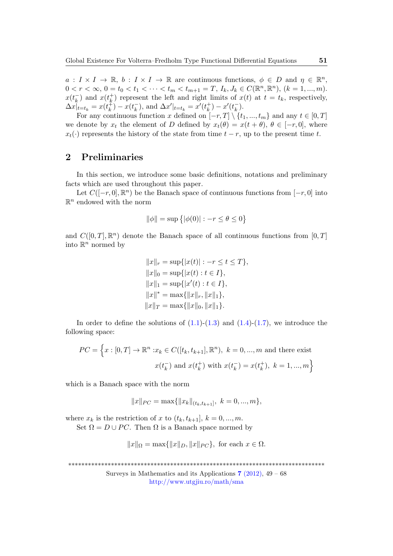$a: I \times I \to \mathbb{R}, b: I \times I \to \mathbb{R}$  are continuous functions,  $\phi \in D$  and  $\eta \in \mathbb{R}^n$ ,  $0 < r < \infty, 0 = t_0 < t_1 < \cdots < t_m < t_{m+1} = T, I_k, J_k \in C(\mathbb{R}^n, \mathbb{R}^n), (k = 1, ..., m).$  $x(t_k^-)$  $\bar{k}$ ) and  $x(t_k^+)$  $\binom{+}{k}$  represent the left and right limits of  $x(t)$  at  $t = t_k$ , respectively,  $\Delta x|_{t=t_k} = x(t_k^+$  $(\frac{1}{k}) - x(t_k^-)$  $(\overline{k}_k)$ , and  $\Delta x'|_{t=t_k} = x'(t_k^+)$  $(x_k^+) - x'(t_k^-)$  $\frac{1}{k}$ .

For any continuous function x defined on  $[-r, T] \setminus \{t_1, ..., t_m\}$  and any  $t \in [0, T]$ we denote by  $x_t$  the element of D defined by  $x_t(\theta) = x(t + \theta)$ ,  $\theta \in [-r, 0]$ , where  $x_t(\cdot)$  represents the history of the state from time  $t - r$ , up to the present time t.

# 2 Preliminaries

In this section, we introduce some basic definitions, notations and preliminary facts which are used throughout this paper.

Let  $C([-r, 0], \mathbb{R}^n)$  be the Banach space of continuous functions from  $[-r, 0]$  into  $\mathbb{R}^n$  endowed with the norm

$$
\|\phi\| = \sup \{ |\phi(0)| : -r \le \theta \le 0 \}
$$

and  $C([0,T],\mathbb{R}^n)$  denote the Banach space of all continuous functions from  $[0,T]$ into  $\mathbb{R}^n$  normed by

$$
||x||_r = \sup\{|x(t)| : -r \le t \le T\},
$$
  
\n
$$
||x||_0 = \sup\{|x(t) : t \in I\},
$$
  
\n
$$
||x||_1 = \sup\{|x'(t) : t \in I\},
$$
  
\n
$$
||x||^* = \max\{|x||_r, ||x||_1\},
$$
  
\n
$$
||x||_T = \max\{|x||_0, ||x||_1\}.
$$

In order to define the solutions of  $(1.1)-(1.3)$  $(1.1)-(1.3)$  $(1.1)-(1.3)$  and  $(1.4)-(1.7)$  $(1.4)-(1.7)$  $(1.4)-(1.7)$ , we introduce the following space:

$$
PC = \left\{ x : [0, T] \to \mathbb{R}^n : x_k \in C([t_k, t_{k+1}], \mathbb{R}^n), k = 0, ..., m \text{ and there exist}
$$

$$
x(t_k^-) \text{ and } x(t_k^+) \text{ with } x(t_k^-) = x(t_k^+), k = 1, ..., m \right\}
$$

which is a Banach space with the norm

$$
||x||_{PC} = \max{||x_k||_{(t_k, t_{k+1}]}, k = 0, ..., m},
$$

where  $x_k$  is the restriction of x to  $(t_k, t_{k+1}], k = 0, ..., m$ . Set  $\Omega = D \cup PC$ . Then  $\Omega$  is a Banach space normed by

$$
||x||_{\Omega} = \max{||x||_D, ||x||_{PC}}, \text{ for each } x \in \Omega.
$$

\*\*\*\*\*\*\*\*\*\*\*\*\*\*\*\*\*\*\*\*\*\*\*\*\*\*\*\*\*\*\*\*\*\*\*\*\*\*\*\*\*\*\*\*\*\*\*\*\*\*\*\*\*\*\*\*\*\*\*\*\*\*\*\*\*\*\*\*\*\*\*\*\*\*\*\*\*\*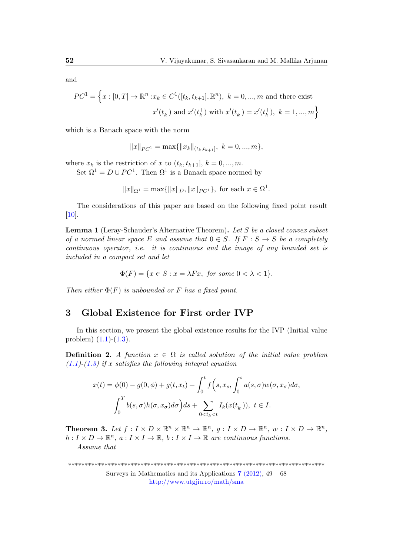and

$$
PC^{1} = \left\{ x : [0, T] \to \mathbb{R}^{n} : x_{k} \in C^{1}([t_{k}, t_{k+1}], \mathbb{R}^{n}), \ k = 0, ..., m \text{ and there exist} \right\}
$$

$$
x'(t_{k}^{-}) \text{ and } x'(t_{k}^{+}) \text{ with } x'(t_{k}^{-}) = x'(t_{k}^{+}), \ k = 1, ..., m \right\}
$$

which is a Banach space with the norm

 $||x||_{PC^1} = \max{||x_k||_{(t_k,t_{k+1}]},\ k = 0,...,m},$ 

where  $x_k$  is the restriction of x to  $(t_k, t_{k+1}], k = 0, ..., m$ .

Set  $\Omega^1 = D \cup PC^1$ . Then  $\Omega^1$  is a Banach space normed by

 $||x||_{\Omega^1} = \max{||x||_D, ||x||_{PC^1}},$  for each  $x \in \Omega^1$ .

The considerations of this paper are based on the following fixed point result [\[10\]](#page-17-10).

<span id="page-3-1"></span>Lemma 1 (Leray-Schauder's Alternative Theorem). Let S be a closed convex subset of a normed linear space E and assume that  $0 \in S$ . If  $F : S \to S$  be a completely continuous operator, i.e. it is continuous and the image of any bounded set is included in a compact set and let

$$
\Phi(F) = \{ x \in S : x = \lambda Fx, \text{ for some } 0 < \lambda < 1 \}.
$$

Then either  $\Phi(F)$  is unbounded or F has a fixed point.

### <span id="page-3-0"></span>3 Global Existence for First order IVP

In this section, we present the global existence results for the IVP (Initial value problem)  $(1.1)-(1.3)$  $(1.1)-(1.3)$  $(1.1)-(1.3)$ .

**Definition 2.** A function  $x \in \Omega$  is called solution of the initial value problem  $(1.1)-(1.3)$  $(1.1)-(1.3)$  $(1.1)-(1.3)$  if x satisfies the following integral equation

$$
x(t) = \phi(0) - g(0, \phi) + g(t, x_t) + \int_0^t f\left(s, x_s, \int_0^s a(s, \sigma) w(\sigma, x_{\sigma}) d\sigma\right)
$$

$$
\int_0^T b(s, \sigma) h(\sigma, x_{\sigma}) d\sigma \Big) ds + \sum_{0 < t_k < t} I_k(x(t_k^{-})), \ t \in I.
$$

<span id="page-3-2"></span>**Theorem 3.** Let  $f: I \times D \times \mathbb{R}^n \times \mathbb{R}^n \to \mathbb{R}^n$ ,  $g: I \times D \to \mathbb{R}^n$ ,  $w: I \times D \to \mathbb{R}^n$ ,  $h: I \times D \to \mathbb{R}^n$ ,  $a: I \times I \to \mathbb{R}$ ,  $b: I \times I \to \mathbb{R}$  are continuous functions.

Assume that

\*\*\*\*\*\*\*\*\*\*\*\*\*\*\*\*\*\*\*\*\*\*\*\*\*\*\*\*\*\*\*\*\*\*\*\*\*\*\*\*\*\*\*\*\*\*\*\*\*\*\*\*\*\*\*\*\*\*\*\*\*\*\*\*\*\*\*\*\*\*\*\*\*\*\*\*\*\*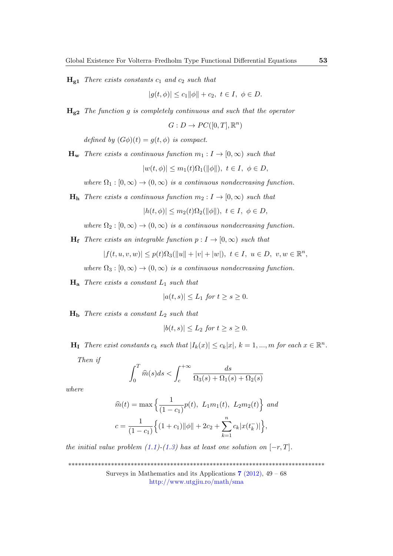$H<sub>g1</sub>$  There exists constants  $c<sub>1</sub>$  and  $c<sub>2</sub>$  such that

$$
|g(t, \phi)| \le c_1 ||\phi|| + c_2, \ t \in I, \ \phi \in D.
$$

 $H<sub>g2</sub>$  The function g is completely continuous and such that the operator

$$
G: D \to PC([0, T], \mathbb{R}^n)
$$

defined by  $(G\phi)(t) = g(t, \phi)$  is compact.

 $\mathbf{H}_{\mathbf{w}}$  There exists a continuous function  $m_1 : I \to [0, \infty)$  such that

$$
|w(t,\phi)| \le m_1(t)\Omega_1(\|\phi\|), \ t \in I, \ \phi \in D,
$$

where  $\Omega_1 : [0, \infty) \to (0, \infty)$  is a continuous nondecreasing function.

 $H_h$  There exists a continuous function  $m_2 : I \to [0, \infty)$  such that

 $|h(t, \phi)| \leq m_2(t)\Omega_2(||\phi||), t \in I, \phi \in D,$ 

where  $\Omega_2 : [0, \infty) \to (0, \infty)$  is a continuous nondecreasing function.

 $H_f$  There exists an integrable function  $p: I \rightarrow [0, \infty)$  such that

$$
|f(t,u,v,w)|\leq p(t)\Omega_3(\|u\|+|v|+|w|),\,\,t\in I,\,\,u\in D,\,\,v,w\in\mathbb{R}^n,
$$

where  $\Omega_3 : [0, \infty) \to (0, \infty)$  is a continuous nondecreasing function.

 $H_a$  There exists a constant  $L_1$  such that

$$
|a(t,s)| \le L_1 \text{ for } t \ge s \ge 0.
$$

 $H<sub>b</sub>$  There exists a constant  $L<sub>2</sub>$  such that

$$
|b(t,s)| \le L_2 \text{ for } t \ge s \ge 0.
$$

 $\mathbf{H}_{\mathbf{I}}$  There exist constants  $c_k$  such that  $|I_k(x)| \leq c_k |x|, k = 1, ..., m$  for each  $x \in \mathbb{R}^n$ .

Then if

$$
\int_0^T \widehat{m}(s)ds < \int_c^{+\infty} \frac{ds}{\Omega_3(s) + \Omega_1(s) + \Omega_2(s)}
$$

where

$$
\widehat{m}(t) = \max \left\{ \frac{1}{(1 - c_1)} p(t), \ L_1 m_1(t), \ L_2 m_2(t) \right\} \text{ and}
$$

$$
c = \frac{1}{(1 - c_1)} \left\{ (1 + c_1) ||\phi|| + 2c_2 + \sum_{k=1}^n c_k |x(t_k^-)| \right\},
$$

the initial value problem  $(1.1)$ - $(1.3)$  has at least one solution on  $[-r, T]$ .

\*\*\*\*\*\*\*\*\*\*\*\*\*\*\*\*\*\*\*\*\*\*\*\*\*\*\*\*\*\*\*\*\*\*\*\*\*\*\*\*\*\*\*\*\*\*\*\*\*\*\*\*\*\*\*\*\*\*\*\*\*\*\*\*\*\*\*\*\*\*\*\*\*\*\*\*\*\*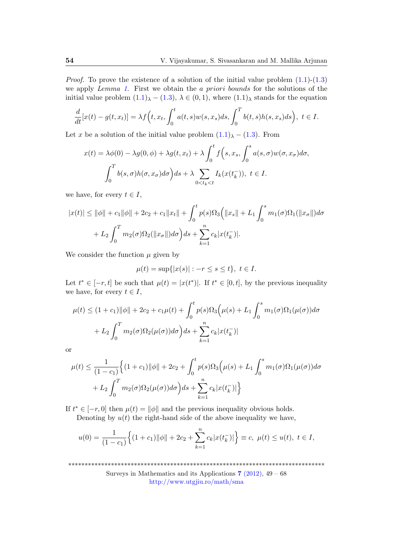*Proof.* To prove the existence of a solution of the initial value problem  $(1.1)-(1.3)$  $(1.1)-(1.3)$  $(1.1)-(1.3)$ we apply Lemma [1](#page-3-1). First we obtain the a priori bounds for the solutions of the initial value problem  $(1.1)_{\lambda} - (1.3)$  $(1.1)_{\lambda} - (1.3)$  $(1.1)_{\lambda} - (1.3)$  $(1.1)_{\lambda} - (1.3)$ ,  $\lambda \in (0,1)$ , where  $(1.1)_{\lambda}$  stands for the equation

$$
\frac{d}{dt}[x(t) - g(t, x_t)] = \lambda f\left(t, x_t, \int_0^t a(t, s)w(s, x_s)ds, \int_0^T b(t, s)h(s, x_s)ds\right), \ t \in I.
$$

Let x be a solution of the initial value problem  $(1.1)_{\lambda} - (1.3)$  $(1.1)_{\lambda} - (1.3)$  $(1.1)_{\lambda} - (1.3)$ . From

$$
x(t) = \lambda \phi(0) - \lambda g(0, \phi) + \lambda g(t, x_t) + \lambda \int_0^t f(s, x_s, \int_0^s a(s, \sigma) w(\sigma, x_{\sigma}) d\sigma,
$$

$$
\int_0^T b(s, \sigma) h(\sigma, x_{\sigma}) d\sigma \Big) ds + \lambda \sum_{0 < t_k < t} I_k(x(t_k^{-})), \ t \in I.
$$

we have, for every  $t \in I$ ,

$$
|x(t)| \le ||\phi|| + c_1 ||\phi|| + 2c_2 + c_1 ||x_t|| + \int_0^t p(s)\Omega_3 \left( ||x_s|| + L_1 \int_0^s m_1(\sigma)\Omega_1(||x_\sigma||) d\sigma \right. \\ + L_2 \int_0^T m_2(\sigma)\Omega_2(||x_\sigma||) d\sigma \Big) ds + \sum_{k=1}^n c_k |x(t_k^-)|.
$$

We consider the function  $\mu$  given by

$$
\mu(t)=\sup\{|x(s)|:-r\leq s\leq t\},\ t\in I.
$$

Let  $t^* \in [-r, t]$  be such that  $\mu(t) = |x(t^*)|$ . If  $t^* \in [0, t]$ , by the previous inequality we have, for every  $t \in I$ ,

$$
\mu(t) \le (1 + c_1) \|\phi\| + 2c_2 + c_1 \mu(t) + \int_0^t p(s)\Omega_3(\mu(s) + L_1 \int_0^s m_1(\sigma)\Omega_1(\mu(\sigma))d\sigma + L_2 \int_0^T m_2(\sigma)\Omega_2(\mu(\sigma))d\sigma\Big)ds + \sum_{k=1}^n c_k |x(t_k^-)|
$$

or

$$
\mu(t) \leq \frac{1}{(1 - c_1)} \Big\{ (1 + c_1) \|\phi\| + 2c_2 + \int_0^t p(s) \Omega_3 \Big( \mu(s) + L_1 \int_0^s m_1(\sigma) \Omega_1(\mu(\sigma)) d\sigma + L_2 \int_0^T m_2(\sigma) \Omega_2(\mu(\sigma)) d\sigma \Big) ds + \sum_{k=1}^n c_k |x(t_k^-)| \Big\}
$$

If  $t^* \in [-r, 0]$  then  $\mu(t) = ||\phi||$  and the previous inequality obvious holds. Denoting by  $u(t)$  the right-hand side of the above inequality we have,

$$
u(0) = \frac{1}{(1 - c_1)} \Big\{ (1 + c_1) \|\phi\| + 2c_2 + \sum_{k=1}^n c_k |x(t_k^-)| \Big\} \equiv c, \ \mu(t) \le u(t), \ t \in I,
$$

\*\*\*\*\*\*\*\*\*\*\*\*\*\*\*\*\*\*\*\*\*\*\*\*\*\*\*\*\*\*\*\*\*\*\*\*\*\*\*\*\*\*\*\*\*\*\*\*\*\*\*\*\*\*\*\*\*\*\*\*\*\*\*\*\*\*\*\*\*\*\*\*\*\*\*\*\*\*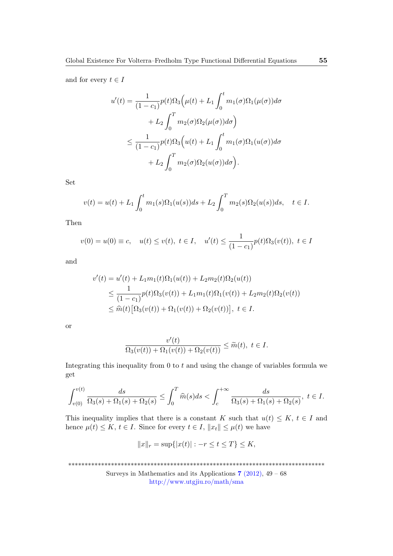and for every  $t \in I$ 

$$
u'(t) = \frac{1}{(1 - c_1)} p(t) \Omega_3 \left( \mu(t) + L_1 \int_0^t m_1(\sigma) \Omega_1(\mu(\sigma)) d\sigma + L_2 \int_0^T m_2(\sigma) \Omega_2(\mu(\sigma)) d\sigma \right) \n\leq \frac{1}{(1 - c_1)} p(t) \Omega_3 \left( u(t) + L_1 \int_0^t m_1(\sigma) \Omega_1(u(\sigma)) d\sigma + L_2 \int_0^T m_2(\sigma) \Omega_2(u(\sigma)) d\sigma \right).
$$

Set

$$
v(t) = u(t) + L_1 \int_0^t m_1(s)\Omega_1(u(s))ds + L_2 \int_0^T m_2(s)\Omega_2(u(s))ds, \quad t \in I.
$$

Then

$$
v(0) = u(0) \equiv c, \quad u(t) \le v(t), \ t \in I, \quad u'(t) \le \frac{1}{(1 - c_1)} p(t) \Omega_3(v(t)), \ t \in I
$$

and

$$
v'(t) = u'(t) + L_1 m_1(t) \Omega_1(u(t)) + L_2 m_2(t) \Omega_2(u(t))
$$
  
\n
$$
\leq \frac{1}{(1 - c_1)} p(t) \Omega_3(v(t)) + L_1 m_1(t) \Omega_1(v(t)) + L_2 m_2(t) \Omega_2(v(t))
$$
  
\n
$$
\leq \widehat{m}(t) [\Omega_3(v(t)) + \Omega_1(v(t)) + \Omega_2(v(t))], \ t \in I.
$$

or

$$
\frac{v'(t)}{\Omega_3(v(t)) + \Omega_1(v(t)) + \Omega_2(v(t))} \le \widetilde{m}(t), \ t \in I.
$$

Integrating this inequality from  $0$  to  $t$  and using the change of variables formula we get

$$
\int_{v(0)}^{v(t)} \frac{ds}{\Omega_3(s) + \Omega_1(s) + \Omega_2(s)} \le \int_0^T \widehat{m}(s)ds < \int_c^{+\infty} \frac{ds}{\Omega_3(s) + \Omega_1(s) + \Omega_2(s)}, \ t \in I.
$$

This inequality implies that there is a constant K such that  $u(t) \leq K$ ,  $t \in I$  and hence  $\mu(t) \leq K$ ,  $t \in I$ . Since for every  $t \in I$ ,  $||x_t|| \leq \mu(t)$  we have

$$
||x||_r = \sup\{|x(t)| : -r \le t \le T\} \le K,
$$

\*\*\*\*\*\*\*\*\*\*\*\*\*\*\*\*\*\*\*\*\*\*\*\*\*\*\*\*\*\*\*\*\*\*\*\*\*\*\*\*\*\*\*\*\*\*\*\*\*\*\*\*\*\*\*\*\*\*\*\*\*\*\*\*\*\*\*\*\*\*\*\*\*\*\*\*\*\*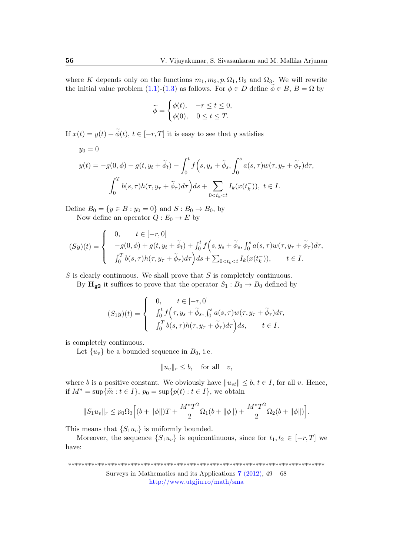where K depends only on the functions  $m_1, m_2, p, \Omega_1, \Omega_2$  and  $\Omega_3$ . We will rewrite the initial value problem [\(1.1\)](#page-1-0)-[\(1.3\)](#page-1-1) as follows. For  $\phi \in D$  define  $\phi \in B$ ,  $B = \Omega$  by

$$
\widetilde{\phi} = \begin{cases} \phi(t), & -r \leq t \leq 0, \\ \phi(0), & 0 \leq t \leq T. \end{cases}
$$

If  $x(t) = y(t) + \widetilde{\phi}(t), t \in [-r, T]$  it is easy to see that y satisfies

$$
y_0 = 0
$$
  

$$
y(t) = -g(0, \phi) + g(t, y_t + \widetilde{\phi}_t) + \int_0^t f\left(s, y_s + \widetilde{\phi}_s, \int_0^s a(s, \tau) w(\tau, y_\tau + \widetilde{\phi}_\tau) d\tau, \int_0^T b(s, \tau) h(\tau, y_\tau + \widetilde{\phi}_\tau) d\tau\right) ds + \sum_{0 \le t_k \le t} I_k(x(t_k^{-})), \ t \in I.
$$

Define  $B_0 = \{y \in B : y_0 = 0\}$  and  $S : B_0 \to B_0$ , by Now define an operator  $Q: E_0 \to E$  by

$$
(Sy)(t) = \begin{cases} 0, & t \in [-r, 0] \\ -g(0, \phi) + g(t, y_t + \widetilde{\phi}_t) + \int_0^t f\left(s, y_s + \widetilde{\phi}_s, \int_0^s a(s, \tau) w(\tau, y_\tau + \widetilde{\phi}_\tau) d\tau, \\ \int_0^T b(s, \tau) h(\tau, y_\tau + \widetilde{\phi}_\tau) d\tau \end{cases}
$$

 $S$  is clearly continuous. We shall prove that  $S$  is completely continuous.

By  $H_{g2}$  it suffices to prove that the operator  $S_1 : B_0 \to B_0$  defined by

$$
(S_1y)(t) = \begin{cases} 0, & t \in [-r, 0] \\ \int_0^t f(\tau, y_s + \widetilde{\phi}_s, \int_0^s a(s, \tau) w(\tau, y_\tau + \widetilde{\phi}_\tau) d\tau, \\ \int_0^T b(s, \tau) h(\tau, y_\tau + \widetilde{\phi}_\tau) d\tau \end{cases}
$$

is completely continuous.

Let  $\{u_v\}$  be a bounded sequence in  $B_0$ , i.e.

$$
||u_v||_r \le b, \quad \text{for all} \quad v,
$$

where b is a positive constant. We obviously have  $||u_{vt}|| \leq b, t \in I$ , for all v. Hence, if  $M^* = \sup\{\widetilde{m} : t \in I\}$ ,  $p_0 = \sup\{p(t) : t \in I\}$ , we obtain

$$
||S_1 u_v||_r \le p_0 \Omega_3 \Big[ (b + ||\phi||)T + \frac{M^* T^2}{2} \Omega_1 (b + ||\phi||) + \frac{M^* T^2}{2} \Omega_2 (b + ||\phi||) \Big].
$$

This means that  $\{S_1u_v\}$  is uniformly bounded.

Moreover, the sequence  $\{S_1u_v\}$  is equicontinuous, since for  $t_1, t_2 \in [-r, T]$  we have:

\*\*\*\*\*\*\*\*\*\*\*\*\*\*\*\*\*\*\*\*\*\*\*\*\*\*\*\*\*\*\*\*\*\*\*\*\*\*\*\*\*\*\*\*\*\*\*\*\*\*\*\*\*\*\*\*\*\*\*\*\*\*\*\*\*\*\*\*\*\*\*\*\*\*\*\*\*\*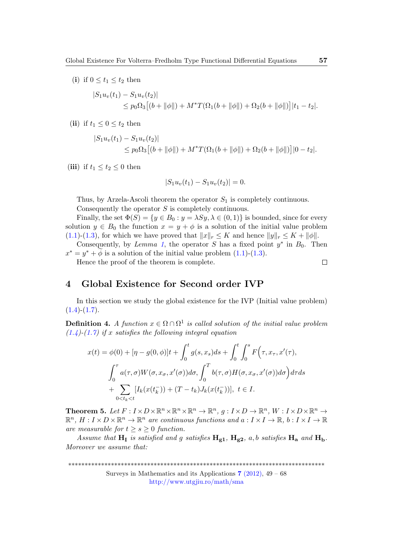(i) if  $0 \le t_1 \le t_2$  then

$$
|S_1 u_v(t_1) - S_1 u_v(t_2)|
$$
  
\n
$$
\leq p_0 \Omega_3 [(b + ||\phi||) + M^* T(\Omega_1(b + ||\phi||) + \Omega_2(b + ||\phi||)] |t_1 - t_2|.
$$

(ii) if  $t_1 \leq 0 \leq t_2$  then

$$
|S_1 u_v(t_1) - S_1 u_v(t_2)|
$$
  
\n
$$
\leq p_0 \Omega_3 [(b + ||\phi||) + M^* T(\Omega_1(b + ||\phi||) + \Omega_2(b + ||\phi||)] |0 - t_2|.
$$

(iii) if  $t_1 \le t_2 \le 0$  then

$$
|S_1 u_v(t_1) - S_1 u_v(t_2)| = 0.
$$

Thus, by Arzela-Ascoli theorem the operator  $S_1$  is completely continuous. Consequently the operator S is completely continuous.

Finally, the set  $\Phi(S) = \{y \in B_0 : y = \lambda Sy, \lambda \in (0,1)\}\$ is bounded, since for every solution  $y \in B_0$  the function  $x = y + \phi$  is a solution of the initial value problem [\(1.1\)](#page-1-0)-[\(1.3\)](#page-1-1), for which we have proved that  $||x||_r \leq K$  and hence  $||y||_r \leq K + ||\phi||$ .

Consequently, by Lemma [1](#page-3-1), the operator S has a fixed point  $y^*$  in  $B_0$ . Then  $x^* = y^* + \widetilde{\phi}$  is a solution of the initial value problem [\(1.1\)](#page-1-0)-[\(1.3\)](#page-1-1).

Hence the proof of the theorem is complete.

$$
\qquad \qquad \Box
$$

## <span id="page-8-0"></span>4 Global Existence for Second order IVP

In this section we study the global existence for the IVP (Initial value problem)  $(1.4)-(1.7).$  $(1.4)-(1.7).$  $(1.4)-(1.7).$  $(1.4)-(1.7).$ 

**Definition 4.** A function  $x \in \Omega \cap \Omega^1$  is called solution of the initial value problem  $(1.4)-(1.7)$  $(1.4)-(1.7)$  $(1.4)-(1.7)$  if x satisfies the following integral equation

$$
x(t) = \phi(0) + [\eta - g(0, \phi)]t + \int_0^t g(s, x_s)ds + \int_0^t \int_0^s F(\tau, x_\tau, x'(\tau)),
$$
  

$$
\int_0^\tau a(\tau, \sigma)W(\sigma, x_\sigma, x'(\sigma))d\sigma, \int_0^T b(\tau, \sigma)H(\sigma, x_\sigma, x'(\sigma))d\sigma \Big)d\tau ds
$$
  

$$
+ \sum_{0 \le t_k < t} [I_k(x(t_k^-)) + (T - t_k)J_k(x(t_k^-))], \ t \in I.
$$

**Theorem 5.** Let  $F: I \times D \times \mathbb{R}^n \times \mathbb{R}^n \times \mathbb{R}^n \to \mathbb{R}^n$ ,  $g: I \times D \to \mathbb{R}^n$ ,  $W: I \times D \times \mathbb{R}^n \to$  $\mathbb{R}^n$ ,  $H: I \times D \times \mathbb{R}^n \to \mathbb{R}^n$  are continuous functions and  $a: I \times I \to \mathbb{R}$ ,  $b: I \times I \to \mathbb{R}$ are measurable for  $t \geq s \geq 0$  function.

Assume that  $H_I$  is satisfied and g satisfies  $H_{g1}$ ,  $H_{g2}$ , a, b satisfies  $H_a$  and  $H_b$ . Moreover we assume that:

\*\*\*\*\*\*\*\*\*\*\*\*\*\*\*\*\*\*\*\*\*\*\*\*\*\*\*\*\*\*\*\*\*\*\*\*\*\*\*\*\*\*\*\*\*\*\*\*\*\*\*\*\*\*\*\*\*\*\*\*\*\*\*\*\*\*\*\*\*\*\*\*\*\*\*\*\*\*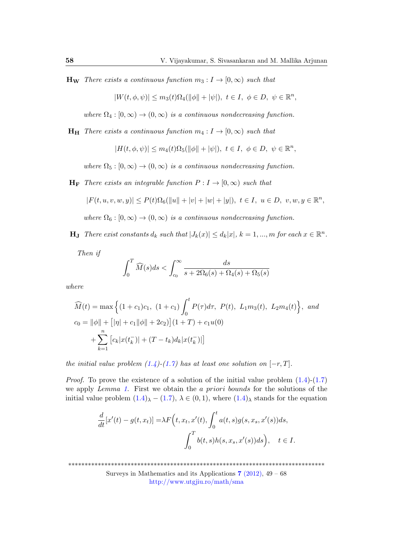**H<sub>W</sub>** There exists a continuous function  $m_3: I \to [0, \infty)$  such that

$$
|W(t, \phi, \psi)| \le m_3(t)\Omega_4(||\phi|| + |\psi|), \ t \in I, \ \phi \in D, \ \psi \in \mathbb{R}^n,
$$

where  $\Omega_4 : [0, \infty) \to (0, \infty)$  is a continuous nondecreasing function.

 $H_H$  There exists a continuous function  $m_4 : I \to [0, \infty)$  such that

$$
|H(t,\phi,\psi)|\leq m_4(t)\Omega_5(\|\phi\|+|\psi|),\ t\in I,\ \phi\in D,\ \psi\in\mathbb{R}^n,
$$

where  $\Omega_5 : [0, \infty) \to (0, \infty)$  is a continuous nondecreasing function.

 $H_F$  There exists an integrable function  $P: I \rightarrow [0, \infty)$  such that

$$
|F(t, u, v, w, y)| \le P(t)\Omega_6(||u|| + |v| + |w| + |y|), \ t \in I, \ u \in D, \ v, w, y \in \mathbb{R}^n,
$$

where  $\Omega_6 : [0, \infty) \to (0, \infty)$  is a continuous nondecreasing function.

**H**<sub>J</sub> There exist constants  $d_k$  such that  $|J_k(x)| \leq d_k |x|, k = 1, ..., m$  for each  $x \in \mathbb{R}^n$ .

Then if

$$
\int_0^T \widehat{M}(s)ds < \int_{c_0}^\infty \frac{ds}{s + 2\Omega_6(s) + \Omega_4(s) + \Omega_5(s)}
$$

where

$$
\widehat{M}(t) = \max \left\{ (1 + c_1)c_1, (1 + c_1) \int_0^t P(\tau) d\tau, P(t), L_1 m_3(t), L_2 m_4(t) \right\}, \text{ and}
$$
  
\n
$$
c_0 = ||\phi|| + [|\eta| + c_1 ||\phi|| + 2c_2] | (1 + T) + c_1 u(0)
$$
  
\n
$$
+ \sum_{k=1}^n [c_k |x(t_k^-)| + (T - t_k) d_k |x(t_k^-)|]
$$

the initial value problem  $(1.4)$ - $(1.7)$  has at least one solution on  $[-r, T]$ .

*Proof.* To prove the existence of a solution of the initial value problem  $(1.4)-(1.7)$  $(1.4)-(1.7)$  $(1.4)-(1.7)$ we apply Lemma [1](#page-3-1). First we obtain the a priori bounds for the solutions of the initial value problem  $(1.4)_{\lambda} - (1.7)$  $(1.4)_{\lambda} - (1.7)$  $(1.4)_{\lambda} - (1.7)$  $(1.4)_{\lambda} - (1.7)$ ,  $\lambda \in (0,1)$ , where  $(1.4)_{\lambda}$  stands for the equation

$$
\frac{d}{dt}[x'(t) - g(t, x_t)] = \lambda F\left(t, x_t, x'(t), \int_0^t a(t, s)g(s, x_s, x'(s))ds, \int_0^T b(t, s)h(s, x_s, x'(s))ds\right), \quad t \in I.
$$

\*\*\*\*\*\*\*\*\*\*\*\*\*\*\*\*\*\*\*\*\*\*\*\*\*\*\*\*\*\*\*\*\*\*\*\*\*\*\*\*\*\*\*\*\*\*\*\*\*\*\*\*\*\*\*\*\*\*\*\*\*\*\*\*\*\*\*\*\*\*\*\*\*\*\*\*\*\*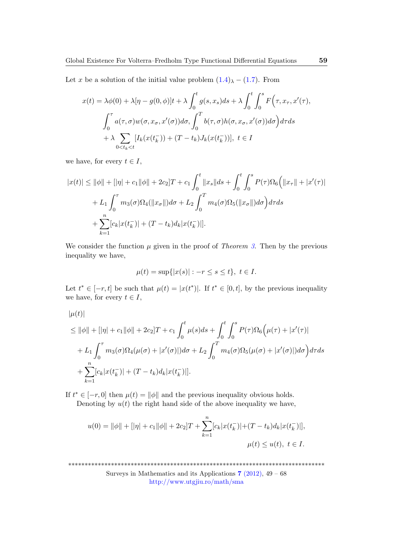Let x be a solution of the initial value problem  $(1.4)$  $(1.4)$  $\lambda - (1.7)$  $\lambda - (1.7)$ . From

$$
x(t) = \lambda \phi(0) + \lambda [\eta - g(0, \phi)]t + \lambda \int_0^t g(s, x_s) ds + \lambda \int_0^t \int_0^s F(\tau, x_\tau, x'(\tau)),
$$
  

$$
\int_0^\tau a(\tau, \sigma) w(\sigma, x_\sigma, x'(\sigma)) d\sigma, \int_0^T b(\tau, \sigma) h(\sigma, x_\sigma, x'(\sigma)) d\sigma \Big) d\tau ds
$$
  

$$
+ \lambda \sum_{0 < t_k < t} [I_k(x(t_k^-)) + (T - t_k) J_k(x(t_k^-))], \ t \in I
$$

we have, for every  $t \in I$ ,

$$
|x(t)| \le ||\phi|| + [|\eta| + c_1||\phi|| + 2c_2]T + c_1 \int_0^t ||x_s|| ds + \int_0^t \int_0^s P(\tau) \Omega_6 \Big(||x_\tau|| + |x'(\tau)| + L_1 \int_0^\tau m_3(\sigma) \Omega_4 (\|x_\sigma\|) d\sigma + L_2 \int_0^T m_4(\sigma) \Omega_5 (\|x_\sigma\|) d\sigma \Big) d\tau ds
$$
  
+ 
$$
\sum_{k=1}^n [c_k |x(t_k^-)| + (T - t_k) d_k |x(t_k^-)|].
$$

We consider the function  $\mu$  given in the proof of *Theorem [3](#page-3-2)*. Then by the previous inequality we have,

$$
\mu(t) = \sup\{|x(s)| : -r \le s \le t\}, \ t \in I.
$$

Let  $t^* \in [-r, t]$  be such that  $\mu(t) = |x(t^*)|$ . If  $t^* \in [0, t]$ , by the previous inequality we have, for every  $t \in I$ ,

 $|\mu(t)|$ 

$$
\leq \|\phi\| + \|\eta\| + c_1 \|\phi\| + 2c_2 \Big|T + c_1 \int_0^t \mu(s)ds + \int_0^t \int_0^s P(\tau)\Omega_6\Big(\mu(\tau) + |x'(\tau)| + L_1 \int_0^{\tau} m_3(\sigma)\Omega_4(\mu(\sigma) + |x'(\sigma)|) d\sigma + L_2 \int_0^T m_4(\sigma)\Omega_5(\mu(\sigma) + |x'(\sigma)|) d\sigma\Big) d\tau ds
$$
  
+ 
$$
\sum_{k=1}^n [c_k |x(t_k^-)| + (T - t_k) d_k |x(t_k^-)|].
$$

If  $t^* \in [-r, 0]$  then  $\mu(t) = ||\phi||$  and the previous inequality obvious holds.

Denoting by  $u(t)$  the right hand side of the above inequality we have,

$$
u(0) = \|\phi\| + [\|\eta\| + c_1\|\phi\| + 2c_2]T + \sum_{k=1}^n [c_k|x(t_k^-)| + (T - t_k)d_k|x(t_k^-)|],
$$
  

$$
\mu(t) \le u(t), \ t \in I.
$$

\*\*\*\*\*\*\*\*\*\*\*\*\*\*\*\*\*\*\*\*\*\*\*\*\*\*\*\*\*\*\*\*\*\*\*\*\*\*\*\*\*\*\*\*\*\*\*\*\*\*\*\*\*\*\*\*\*\*\*\*\*\*\*\*\*\*\*\*\*\*\*\*\*\*\*\*\*\*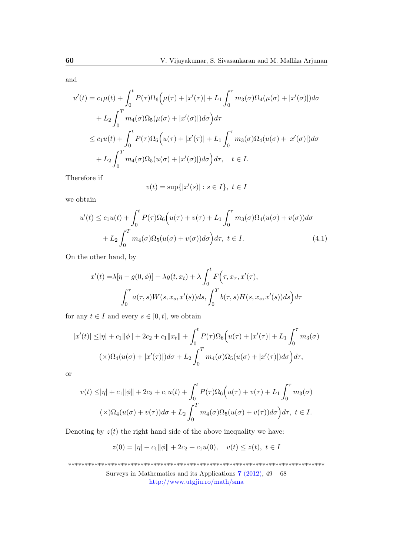and

$$
u'(t) = c_1\mu(t) + \int_0^t P(\tau)\Omega_6(\mu(\tau) + |x'(\tau)| + L_1 \int_0^\tau m_3(\sigma)\Omega_4(\mu(\sigma) + |x'(\sigma)|) d\sigma
$$
  
+ 
$$
L_2 \int_0^T m_4(\sigma)\Omega_5(\mu(\sigma) + |x'(\sigma)|) d\sigma \Big) d\tau
$$
  

$$
\leq c_1 u(t) + \int_0^t P(\tau)\Omega_6(u(\tau) + |x'(\tau)| + L_1 \int_0^\tau m_3(\sigma)\Omega_4(u(\sigma) + |x'(\sigma)|) d\sigma
$$
  
+ 
$$
L_2 \int_0^T m_4(\sigma)\Omega_5(u(\sigma) + |x'(\sigma)|) d\sigma \Big) d\tau, \quad t \in I.
$$

Therefore if

$$
v(t) = \sup\{|x'(s)| : s \in I\}, \ t \in I
$$

we obtain

$$
u'(t) \le c_1 u(t) + \int_0^t P(\tau) \Omega_6(u(\tau) + v(\tau) + L_1 \int_0^{\tau} m_3(\sigma) \Omega_4(u(\sigma) + v(\sigma)) d\sigma
$$
  
+  $L_2 \int_0^T m_4(\sigma) \Omega_5(u(\sigma) + v(\sigma)) d\sigma \Big) d\tau, \ t \in I.$  (4.1)

On the other hand, by

$$
x'(t) = \lambda[\eta - g(0, \phi)] + \lambda g(t, x_t) + \lambda \int_0^t F(\tau, x_\tau, x'(\tau)),
$$

$$
\int_0^\tau a(\tau, s) W(s, x_s, x'(s)) ds, \int_0^T b(\tau, s) H(s, x_s, x'(s)) ds d\tau
$$

for any  $t \in I$  and every  $s \in [0, t]$ , we obtain

$$
|x'(t)| \le |\eta| + c_1 \|\phi\| + 2c_2 + c_1 \|x_t\| + \int_0^t P(\tau) \Omega_6(u(\tau) + |x'(\tau)| + L_1 \int_0^{\tau} m_3(\sigma))
$$
  

$$
(\times) \Omega_4(u(\sigma) + |x'(\tau)|) d\sigma + L_2 \int_0^T m_4(\sigma) \Omega_5(u(\sigma) + |x'(\tau)|) d\sigma \Big) d\tau,
$$

or

$$
v(t) \le |\eta| + c_1 \|\phi\| + 2c_2 + c_1 u(t) + \int_0^t P(\tau) \Omega_6(u(\tau) + v(\tau) + L_1 \int_0^{\tau} m_3(\sigma))
$$
  

$$
(\times)\Omega_4(u(\sigma) + v(\tau))d\sigma + L_2 \int_0^T m_4(\sigma) \Omega_5(u(\sigma) + v(\tau))d\sigma \Big) d\tau, \ t \in I.
$$

Denoting by  $z(t)$  the right hand side of the above inequality we have:

$$
z(0) = |\eta| + c_1 \|\phi\| + 2c_2 + c_1 u(0), \quad v(t) \le z(t), \ t \in I
$$

\*\*\*\*\*\*\*\*\*\*\*\*\*\*\*\*\*\*\*\*\*\*\*\*\*\*\*\*\*\*\*\*\*\*\*\*\*\*\*\*\*\*\*\*\*\*\*\*\*\*\*\*\*\*\*\*\*\*\*\*\*\*\*\*\*\*\*\*\*\*\*\*\*\*\*\*\*\*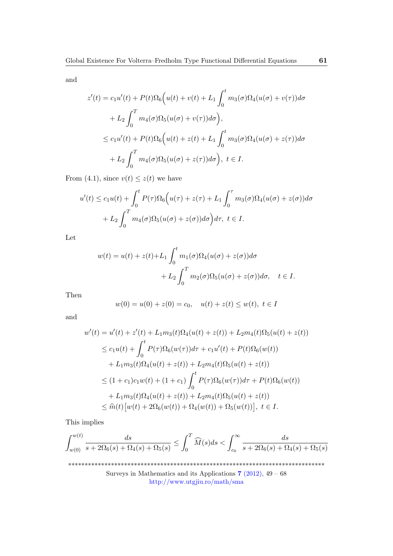and

$$
z'(t) = c_1 u'(t) + P(t)\Omega_6(u(t) + v(t) + L_1 \int_0^t m_3(\sigma)\Omega_4(u(\sigma) + v(\tau))d\sigma
$$
  
+ 
$$
L_2 \int_0^T m_4(\sigma)\Omega_5(u(\sigma) + v(\tau))d\sigma),
$$
  

$$
\leq c_1 u'(t) + P(t)\Omega_6(u(t) + z(t) + L_1 \int_0^t m_3(\sigma)\Omega_4(u(\sigma) + z(\tau))d\sigma
$$
  
+ 
$$
L_2 \int_0^T m_4(\sigma)\Omega_5(u(\sigma) + z(\tau))d\sigma), \ t \in I.
$$

From (4.1), since  $v(t) \leq z(t)$  we have

$$
u'(t) \le c_1 u(t) + \int_0^t P(\tau) \Omega_6(u(\tau) + z(\tau) + L_1 \int_0^{\tau} m_3(\sigma) \Omega_4(u(\sigma) + z(\sigma)) d\sigma
$$

$$
+ L_2 \int_0^T m_4(\sigma) \Omega_5(u(\sigma) + z(\sigma)) d\sigma \Big) d\tau, \ t \in I.
$$

Let

$$
w(t) = u(t) + z(t) + L_1 \int_0^t m_1(\sigma) \Omega_4(u(\sigma) + z(\sigma)) d\sigma
$$
  
+ 
$$
L_2 \int_0^T m_2(\sigma) \Omega_5(u(\sigma) + z(\sigma)) d\sigma, \quad t \in I.
$$

Then

$$
w(0) = u(0) + z(0) = c_0, \quad u(t) + z(t) \le w(t), \ t \in I
$$

and

$$
w'(t) = u'(t) + z'(t) + L_1 m_3(t) \Omega_4(u(t) + z(t)) + L_2 m_4(t) \Omega_5(u(t) + z(t))
$$
  
\n
$$
\leq c_1 u(t) + \int_0^t P(\tau) \Omega_6(w(\tau)) d\tau + c_1 u'(t) + P(t) \Omega_6(w(t))
$$
  
\n
$$
+ L_1 m_3(t) \Omega_4(u(t) + z(t)) + L_2 m_4(t) \Omega_5(u(t) + z(t))
$$
  
\n
$$
\leq (1 + c_1) c_1 w(t) + (1 + c_1) \int_0^t P(\tau) \Omega_6(w(\tau)) d\tau + P(t) \Omega_6(w(t))
$$
  
\n
$$
+ L_1 m_3(t) \Omega_4(u(t) + z(t)) + L_2 m_4(t) \Omega_5(u(t) + z(t))
$$
  
\n
$$
\leq \hat{m}(t) [w(t) + 2\Omega_6(w(t)) + \Omega_4(w(t)) + \Omega_5(w(t))], \ t \in I.
$$

This implies

$$
\int_{w(0)}^{w(t)} \frac{ds}{s + 2\Omega_6(s) + \Omega_4(s) + \Omega_5(s)} \le \int_0^T \widehat{M}(s)ds < \int_{c_0}^\infty \frac{ds}{s + 2\Omega_6(s) + \Omega_4(s) + \Omega_5(s)}
$$

\*\*\*\*\*\*\*\*\*\*\*\*\*\*\*\*\*\*\*\*\*\*\*\*\*\*\*\*\*\*\*\*\*\*\*\*\*\*\*\*\*\*\*\*\*\*\*\*\*\*\*\*\*\*\*\*\*\*\*\*\*\*\*\*\*\*\*\*\*\*\*\*\*\*\*\*\*\*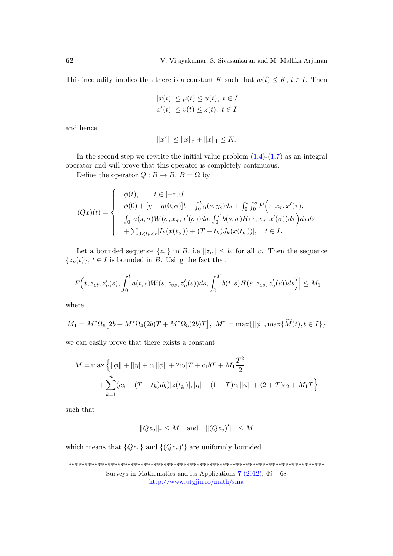This inequality implies that there is a constant K such that  $w(t) \leq K$ ,  $t \in I$ . Then

$$
|x(t)| \le \mu(t) \le u(t), \ t \in I
$$
  

$$
|x'(t)| \le v(t) \le z(t), \ t \in I
$$

and hence

$$
||x^*|| \le ||x||_r + ||x||_1 \le K.
$$

In the second step we rewrite the initial value problem  $(1.4)-(1.7)$  $(1.4)-(1.7)$  $(1.4)-(1.7)$  as an integral operator and will prove that this operator is completely continuous.

Define the operator  $Q : B \to B$ ,  $B = \Omega$  by

$$
(Qx)(t) = \begin{cases} \phi(t), & t \in [-r, 0] \\ \phi(0) + [\eta - g(0, \phi)]t + \int_0^t g(s, y_s)ds + \int_0^t \int_0^s F(\tau, x_\tau, x'(\tau), \\ \int_0^\tau a(s, \sigma) W(\sigma, x_\sigma, x'(\sigma))d\sigma, \int_0^T b(s, \sigma) H(\tau, x_\sigma, x'(\sigma))d\tau \end{cases} d\tau ds + \sum_{0 < t_k < t} [I_k(x(t_k^{-})) + (T - t_k)J_k(x(t_k^{-}))], \quad t \in I.
$$

Let a bounded sequence  $\{z_v\}$  in B, i.e  $||z_v|| \leq b$ , for all v. Then the sequence  $\{z_v(t)\}\,$ ,  $t \in I$  is bounded in B. Using the fact that

$$
\left| F\Big(t, z_{vt}, z'_v(s), \int_0^t a(t,s)W(s, z_{vs}, z'_v(s))ds, \int_0^T b(t,s)H(s, z_{vs}, z'_v(s))ds \Big) \right| \le M_1
$$

where

$$
M_1 = M^* \Omega_6 \big[ 2b + M^* \Omega_4(2b)T + M^* \Omega_5(2b)T \big], \ M^* = \max \{ ||\phi||, \max \{ \widetilde{M}(t), t \in I \} \}
$$

we can easily prove that there exists a constant

$$
M = \max \left\{ \|\phi\| + \left[|\eta| + c_1\|\phi\| + 2c_2\right]T + c_1bT + M_1\frac{T^2}{2} + \sum_{k=1}^n (c_k + (T - t_k)d_k) |z(t_k^-)|, |\eta| + (1 + T)c_1\|\phi\| + (2 + T)c_2 + M_1T \right\}
$$

such that

$$
||Qz_v||_r \le M \quad \text{and} \quad ||(Qz_v)'||_1 \le M
$$

which means that  ${Qz_v}$  and  ${(Qz_v)}'$  are uniformly bounded.

\*\*\*\*\*\*\*\*\*\*\*\*\*\*\*\*\*\*\*\*\*\*\*\*\*\*\*\*\*\*\*\*\*\*\*\*\*\*\*\*\*\*\*\*\*\*\*\*\*\*\*\*\*\*\*\*\*\*\*\*\*\*\*\*\*\*\*\*\*\*\*\*\*\*\*\*\*\* Surveys in Mathematics and its Applications  $7$  [\(2012\),](http://www.utgjiu.ro/math/sma/v07/v07.html) 49 – 68 <http://www.utgjiu.ro/math/sma>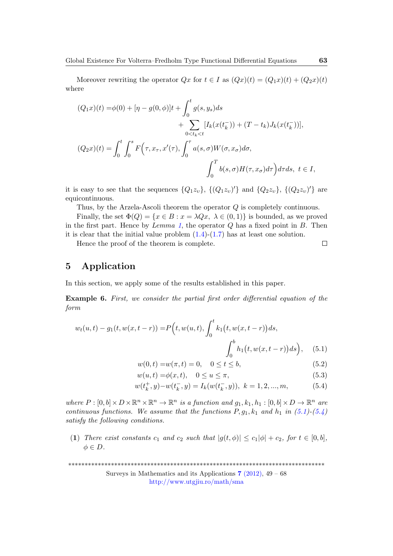Moreover rewriting the operator  $Qx$  for  $t \in I$  as  $(Qx)(t) = (Q_1x)(t) + (Q_2x)(t)$ where

$$
(Q_1x)(t) = \phi(0) + [\eta - g(0, \phi)]t + \int_0^t g(s, y_s)ds + \sum_{0 < t_k < t} [I_k(x(t_k^-)) + (T - t_k)J_k(x(t_k^-))],
$$
\n
$$
(Q_2x)(t) = \int_0^t \int_0^s F\Big(\tau, x_\tau, x'(\tau), \int_0^\tau a(s, \sigma) W(\sigma, x_\sigma) d\sigma, \int_0^T b(s, \sigma) H(\tau, x_\sigma) d\tau \Big) d\tau ds, \ t \in I,
$$

it is easy to see that the sequences  $\{Q_1z_v\}$ ,  $\{(Q_1z_v)'\}$  and  $\{Q_2z_v\}$ ,  $\{(Q_2z_v)'\}$  are equicontinuous.

Thus, by the Arzela-Ascoli theorem the operator Q is completely continuous.

Finally, the set  $\Phi(Q) = \{x \in B : x = \lambda Qx, \lambda \in (0,1)\}\$ is bounded, as we proved in the first part. Hence by Lemma [1](#page-3-1), the operator  $Q$  has a fixed point in  $B$ . Then it is clear that the initial value problem  $(1.4)-(1.7)$  $(1.4)-(1.7)$  $(1.4)-(1.7)$  has at least one solution.

Hence the proof of the theorem is complete.

## 5 Application

In this section, we apply some of the results established in this paper.

Example 6. First, we consider the partial first order differential equation of the form

$$
w_t(u,t) - g_1(t, w(x, t - r)) = P(t, w(u,t), \int_0^t k_1(t, w(x, t - r)) ds, \int_0^b h_1(t, w(x, t - r)) ds), \quad (5.1)
$$

$$
w(0, t) = w(\pi, t) = 0, \quad 0 \le t \le b,
$$
\n(5.2)

$$
w(u,t) = \phi(x,t), \quad 0 \le u \le \pi,
$$
\n
$$
(5.3)
$$

$$
w(t_k^+, y) - w(t_k^-, y) = I_k(w(t_k^-, y)), \ k = 1, 2, ..., m,
$$
 (5.4)

where  $P: [0, b] \times D \times \mathbb{R}^n \times \mathbb{R}^n \to \mathbb{R}^n$  is a function and  $g_1, k_1, h_1 : [0, b] \times D \to \mathbb{R}^n$  are continuous functions. We assume that the functions  $P, g_1, k_1$  and  $h_1$  in [\(5.1\)](#page-14-0)-[\(5.4\)](#page-14-1) satisfy the following conditions.

(1) There exist constants  $c_1$  and  $c_2$  such that  $|g(t, \phi)| \leq c_1 |\phi| + c_2$ , for  $t \in [0, b]$ ,  $\phi \in D$ .

\*\*\*\*\*\*\*\*\*\*\*\*\*\*\*\*\*\*\*\*\*\*\*\*\*\*\*\*\*\*\*\*\*\*\*\*\*\*\*\*\*\*\*\*\*\*\*\*\*\*\*\*\*\*\*\*\*\*\*\*\*\*\*\*\*\*\*\*\*\*\*\*\*\*\*\*\*\*

Surveys in Mathematics and its Applications  $7$  [\(2012\),](http://www.utgjiu.ro/math/sma/v07/v07.html) 49 – 68 <http://www.utgjiu.ro/math/sma>

<span id="page-14-1"></span><span id="page-14-0"></span> $\Box$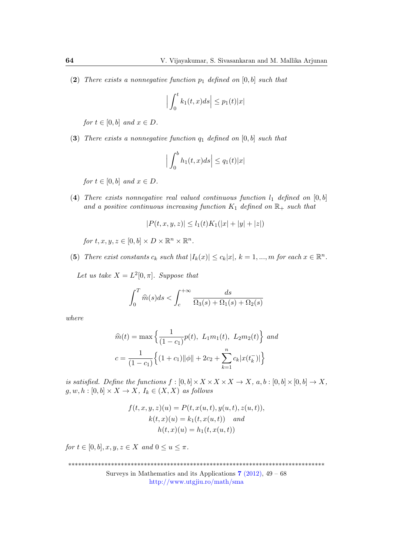(2) There exists a nonnegative function  $p_1$  defined on [0, b] such that

$$
\Big|\int_0^t k_1(t,x)ds\Big|\leq p_1(t)|x|
$$

for  $t \in [0, b]$  and  $x \in D$ .

(3) There exists a nonnegative function  $q_1$  defined on  $[0, b]$  such that

$$
\left| \int_0^b h_1(t,x)ds \right| \le q_1(t)|x|
$$

for  $t \in [0, b]$  and  $x \in D$ .

(4) There exists nonnegative real valued continuous function  $l_1$  defined on  $[0, b]$ and a positive continuous increasing function  $K_1$  defined on  $\mathbb{R}_+$  such that

$$
|P(t, x, y, z)| \le l_1(t)K_1(|x| + |y| + |z|)
$$

for 
$$
t, x, y, z \in [0, b] \times D \times \mathbb{R}^n \times \mathbb{R}^n
$$
.

(5) There exist constants  $c_k$  such that  $|I_k(x)| \leq c_k |x|$ ,  $k = 1, ..., m$  for each  $x \in \mathbb{R}^n$ .

Let us take  $X = L^2[0, \pi]$ . Suppose that

$$
\int_0^T \widehat{m}(s)ds < \int_c^{+\infty} \frac{ds}{\Omega_3(s) + \Omega_1(s) + \Omega_2(s)}
$$

where

$$
\widehat{m}(t) = \max \left\{ \frac{1}{(1 - c_1)} p(t), \ L_1 m_1(t), \ L_2 m_2(t) \right\} \text{ and}
$$

$$
c = \frac{1}{(1 - c_1)} \left\{ (1 + c_1) ||\phi|| + 2c_2 + \sum_{k=1}^n c_k |x(t_k^-)| \right\}
$$

is satisfied. Define the functions  $f : [0, b] \times X \times X \times X \to X$ ,  $a, b : [0, b] \times [0, b] \to X$ ,  $g, w, h : [0, b] \times X \to X$ ,  $I_k \in (X, X)$  as follows

$$
f(t, x, y, z)(u) = P(t, x(u, t), y(u, t), z(u, t)),
$$
  
\n
$$
k(t, x)(u) = k_1(t, x(u, t)) \text{ and}
$$
  
\n
$$
h(t, x)(u) = h_1(t, x(u, t))
$$

for  $t \in [0, b], x, y, z \in X$  and  $0 \le u \le \pi$ .

\*\*\*\*\*\*\*\*\*\*\*\*\*\*\*\*\*\*\*\*\*\*\*\*\*\*\*\*\*\*\*\*\*\*\*\*\*\*\*\*\*\*\*\*\*\*\*\*\*\*\*\*\*\*\*\*\*\*\*\*\*\*\*\*\*\*\*\*\*\*\*\*\*\*\*\*\*\*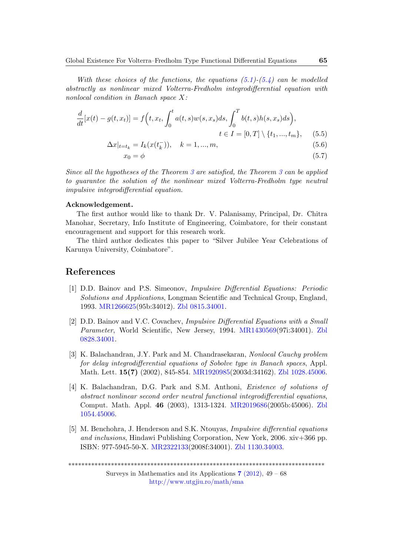With these choices of the functions, the equations  $(5.1)-(5.4)$  $(5.1)-(5.4)$  $(5.1)-(5.4)$  can be modelled abstractly as nonlinear mixed Volterra-Fredholm integrodifferential equation with nonlocal condition in Banach space X:

$$
\frac{d}{dt}[x(t) - g(t, x_t)] = f(t, x_t, \int_0^t a(t, s)w(s, x_s)ds, \int_0^T b(t, s)h(s, x_s)ds),
$$
  

$$
t \in I = [0, T] \setminus \{t_1, ..., t_m\}, \quad (5.5)
$$

$$
\Delta x|_{t=t_k} = I_k(x(t_k^-)), \quad k = 1, ..., m,
$$
\n(5.6)

$$
x_0 = \phi \tag{5.7}
$$

Since all the hypotheses of the Theorem [3](#page-3-2) are satisfied, the Theorem [3](#page-3-2) can be applied to guarantee the solution of the nonlinear mixed Volterra-Fredholm type neutral impulsive integrodifferential equation.

#### Acknowledgement.

The first author would like to thank Dr. V. Palanisamy, Principal, Dr. Chitra Manohar, Secretary, Info Institute of Engineering, Coimbatore, for their constant encouragement and support for this research work.

The third author dedicates this paper to "Silver Jubilee Year Celebrations of Karunya University, Coimbatore".

## References

- <span id="page-16-0"></span>[1] D.D. Bainov and P.S. Simeonov, Impulsive Differential Equations: Periodic Solutions and Applications, Longman Scientific and Technical Group, England, 1993. [MR1266625\(](http://www.ams.org/mathscinet-getitem?mr=1266625)95b:34012). [Zbl 0815.34001.](http://www.zentralblatt-math.org/zmath/en/advanced/?q=an:0815.34001&format=complete)
- <span id="page-16-1"></span>[2] D.D. Bainov and V.C. Covachev, Impulsive Differential Equations with a Small Parameter, World Scientific, New Jersey, 1994. [MR1430569\(](http://www.ams.org/mathscinet-getitem?mr=1430569)97i:34001). [Zbl](http://www.zentralblatt-math.org/zmath/en/advanced/?q=an:0828.34001&format=complete) [0828.34001.](http://www.zentralblatt-math.org/zmath/en/advanced/?q=an:0828.34001&format=complete)
- <span id="page-16-2"></span>[3] K. Balachandran, J.Y. Park and M. Chandrasekaran, Nonlocal Cauchy problem for delay integrodifferential equations of Sobolve type in Banach spaces, Appl. Math. Lett. 15(7) (2002), 845-854. [MR1920985\(](http://www.ams.org/mathscinet-getitem?mr=1920985)2003d:34162). [Zbl 1028.45006.](http://www.zentralblatt-math.org/zmath/en/search/?q=an:1028.45006&format=complete)
- <span id="page-16-3"></span>[4] K. Balachandran, D.G. Park and S.M. Anthoni, Existence of solutions of abstract nonlinear second order neutral functional integrodifferential equations, Comput. Math. Appl. 46 (2003), 1313-1324. [MR2019686\(](http://www.ams.org/mathscinet-getitem?mr=2019686)2005b:45006). [Zbl](http://www.zentralblatt-math.org/zmath/en/advanced/?q=an:1054.45006&format=complete) [1054.45006.](http://www.zentralblatt-math.org/zmath/en/advanced/?q=an:1054.45006&format=complete)
- <span id="page-16-4"></span>[5] M. Benchohra, J. Henderson and S.K. Ntouyas, Impulsive differential equations and inclusions, Hindawi Publishing Corporation, New York, 2006. xiv+366 pp. ISBN: 977-5945-50-X. [MR2322133\(](http://www.ams.org/mathscinet-getitem?mr=2322133)2008f:34001). [Zbl 1130.34003.](http://www.zentralblatt-math.org/zmath/en/advanced/?q=an:1130.34003&format=complete)

\*\*\*\*\*\*\*\*\*\*\*\*\*\*\*\*\*\*\*\*\*\*\*\*\*\*\*\*\*\*\*\*\*\*\*\*\*\*\*\*\*\*\*\*\*\*\*\*\*\*\*\*\*\*\*\*\*\*\*\*\*\*\*\*\*\*\*\*\*\*\*\*\*\*\*\*\*\*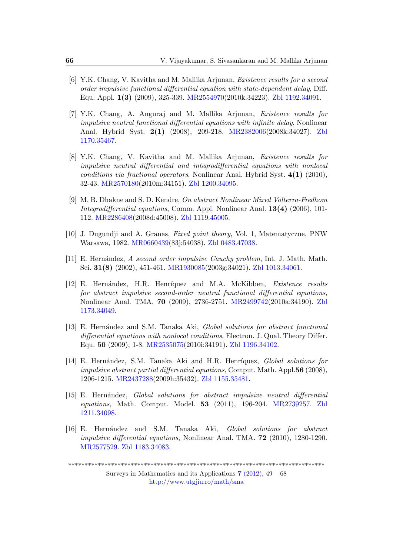- <span id="page-17-2"></span>[6] Y.K. Chang, V. Kavitha and M. Mallika Arjunan, Existence results for a second order impulsive functional differential equation with state-dependent delay, Diff. Equ. Appl. 1(3) (2009), 325-339. [MR2554970\(](http://www.ams.org/mathscinet-getitem?mr=2554970)2010k:34223). [Zbl 1192.34091.](http://www.zentralblatt-math.org/zmath/en/advanced/?q=an:1192.34091&format=complete)
- <span id="page-17-4"></span>[7] Y.K. Chang, A. Anguraj and M. Mallika Arjunan, Existence results for impulsive neutral functional differential equations with infinite delay, Nonlinear Anal. Hybrid Syst. 2(1) (2008), 209-218. [MR2382006\(](http://www.ams.org/mathscinet-getitem?mr=2382006)2008k:34027). [Zbl](http://www.zentralblatt-math.org/zmath/en/advanced/?q=an:1170.35467&format=complete) [1170.35467.](http://www.zentralblatt-math.org/zmath/en/advanced/?q=an:1170.35467&format=complete)
- <span id="page-17-3"></span>[8] Y.K. Chang, V. Kavitha and M. Mallika Arjunan, Existence results for impulsive neutral differential and integrodifferential equations with nonlocal conditions via fractional operators, Nonlinear Anal. Hybrid Syst. 4(1) (2010), 32-43. [MR2570180\(](http://www.ams.org/mathscinet-getitem?mr=2570180)2010m:34151). [Zbl 1200.34095.](http://www.zentralblatt-math.org/zmath/en/advanced/?q=an:1200.34095&format=complete)
- <span id="page-17-5"></span>[9] M. B. Dhakne and S. D. Kendre, On abstract Nonlinear Mixed Volterra-Fredhom Integrodifferential equations, Comm. Appl. Nonlinear Anal. 13(4) (2006), 101- 112. [MR2286408\(](http://www.ams.org/mathscinet-getitem?mr=2286408)2008d:45008). [Zbl 1119.45005.](http://www.zentralblatt-math.org/zmath/en/advanced/?q=an:1119.45005&format=complete)
- <span id="page-17-10"></span>[10] J. Dugundji and A. Granas, Fixed point theory, Vol. 1, Matematyczne, PNW Warsawa, 1982. [MR0660439\(](http://www.ams.org/mathscinet-getitem?mr=660439)83j:54038). [Zbl 0483.47038.](http://www.zentralblatt-math.org/zmath/en/advanced/?q=an:0483.47038&format=complete)
- <span id="page-17-1"></span>[11] E. Hern´andez, A second order impulsive Cauchy problem, Int. J. Math. Math. Sci. 31(8) (2002), 451-461. [MR1930085\(](http://www.ams.org/mathscinet-getitem?mr=1930085)2003g:34021). [Zbl 1013.34061.](http://www.zentralblatt-math.org/zmath/en/advanced/?q=an:1013.34061&format=complete)
- <span id="page-17-0"></span>[12] E. Hernández, H.R. Henríquez and M.A. McKibben, *Existence results* for abstract impulsive second-order neutral functional differential equations, Nonlinear Anal. TMA, 70 (2009), 2736-2751. [MR2499742\(](http://www.ams.org/mathscinet-getitem?mr=2499742)2010a:34190). [Zbl](http://www.zentralblatt-math.org/zmath/en/advanced/?q=an:1173.34049&format=complete) [1173.34049.](http://www.zentralblatt-math.org/zmath/en/advanced/?q=an:1173.34049&format=complete)
- <span id="page-17-6"></span>[13] E. Hernández and S.M. Tanaka Aki, *Global solutions for abstract functional* differential equations with nonlocal conditions, Electron. J. Qual. Theory Differ. Equ. 50 (2009), 1-8. [MR2535075\(](http://www.ams.org/mathscinet-getitem?mr=2535075)2010i:34191). [Zbl 1196.34102.](http://www.zentralblatt-math.org/zmath/en/advanced/?q=an:1196.34102&format=complete)
- <span id="page-17-7"></span>[14] E. Hernández, S.M. Tanaka Aki and H.R. Henríquez, *Global solutions for* impulsive abstract partial differential equations, Comput. Math. Appl.56 (2008), 1206-1215. [MR2437288\(](http://www.ams.org/mathscinet-getitem?mr=2437288)2009h:35432). [Zbl 1155.35481.](http://www.zentralblatt-math.org/zmath/en/advanced/?q=an:1155.35481&format=complete)
- <span id="page-17-8"></span>[15] E. Hernández, Global solutions for abstract impulsive neutral differential equations, Math. Comput. Model. 53 (2011), 196-204. [MR2739257.](http://www.ams.org/mathscinet-getitem?mr=2739257) [Zbl](http://www.zentralblatt-math.org/zmath/en/advanced/?q=an:1155.35481&format=complete) [1211.34098.](http://www.zentralblatt-math.org/zmath/en/advanced/?q=an:1155.35481&format=complete)
- <span id="page-17-9"></span>[16] E. Hern´andez and S.M. Tanaka Aki, Global solutions for abstract impulsive differential equations, Nonlinear Anal. TMA. 72 (2010), 1280-1290. [MR2577529.](http://www.ams.org/mathscinet-getitem?mr=2577529) [Zbl 1183.34083.](http://www.zentralblatt-math.org/zmath/en/advanced/?q=an:1155.35481&format=complete)

\*\*\*\*\*\*\*\*\*\*\*\*\*\*\*\*\*\*\*\*\*\*\*\*\*\*\*\*\*\*\*\*\*\*\*\*\*\*\*\*\*\*\*\*\*\*\*\*\*\*\*\*\*\*\*\*\*\*\*\*\*\*\*\*\*\*\*\*\*\*\*\*\*\*\*\*\*\*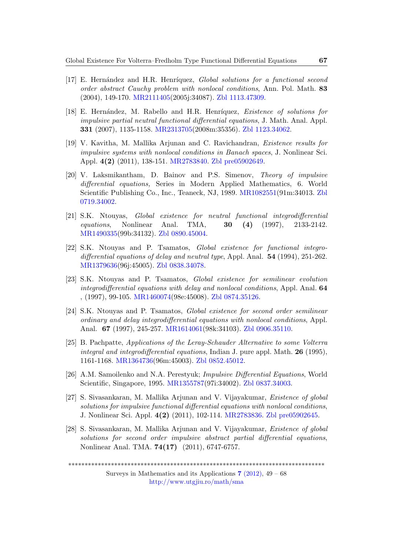- <span id="page-18-4"></span>[17] E. Hernández and H.R. Henríquez, Global solutions for a functional second order abstract Cauchy problem with nonlocal conditions, Ann. Pol. Math. 83 (2004), 149-170. [MR2111405\(](http://www.ams.org/mathscinet-getitem?mr=2111405)2005j:34087). [Zbl 1113.47309.](http://www.zentralblatt-math.org/zmath/en/advanced/?q=an:1155.35481&format=complete)
- <span id="page-18-5"></span>[18] E. Hernández, M. Rabello and H.R. Henríquez, Existence of solutions for impulsive partial neutral functional differential equations, J. Math. Anal. Appl. 331 (2007), 1135-1158. [MR2313705\(](http://www.ams.org/mathscinet-getitem?mr=2313705)2008m:35356). [Zbl 1123.34062.](http://www.zentralblatt-math.org/zmath/en/advanced/?q=an:1155.35481&format=complete)
- <span id="page-18-2"></span>[19] V. Kavitha, M. Mallika Arjunan and C. Ravichandran, Existence results for impulsive systems with nonlocal conditions in Banach spaces, J. Nonlinear Sci. Appl. 4(2) (2011), 138-151. [MR2783840.](http://www.ams.org/mathscinet-getitem?mr=2783840) [Zbl pre05902649.](http://www.zentralblatt-math.org/zmath/en/advanced/?q=an:1155.35481&format=complete)
- <span id="page-18-0"></span>[20] V. Laksmikantham, D. Bainov and P.S. Simenov, Theory of impulsive differential equations, Series in Modern Applied Mathematics, 6. World Scientific Publishing Co., Inc., Teaneck, NJ, 1989. [MR1082551\(](http://www.ams.org/mathscinet-getitem?mr=1082551)91m:34013. [Zbl](http://www.zentralblatt-math.org/zmath/en/advanced/?q=an:1155.35481&format=complete) [0719.34002.](http://www.zentralblatt-math.org/zmath/en/advanced/?q=an:1155.35481&format=complete)
- <span id="page-18-3"></span>[21] S.K. Ntouyas, Global existence for neutral functional integrodifferential equations, Nonlinear Anal. TMA, 30 (4) (1997), 2133-2142. [MR1490335\(](http://www.ams.org/mathscinet-getitem?mr=1490335)99b:34132). [Zbl 0890.45004.](http://www.zentralblatt-math.org/zmath/en/advanced/?q=an:1155.35481&format=complete)
- <span id="page-18-6"></span>[22] S.K. Ntouyas and P. Tsamatos, Global existence for functional integrodifferential equations of delay and neutral type, Appl. Anal. 54 (1994), 251-262. [MR1379636\(](http://www.ams.org/mathscinet-getitem?mr=1379636)96j:45005). [Zbl 0838.34078.](http://www.zentralblatt-math.org/zmath/en/advanced/?q=an:1155.35481&format=complete)
- <span id="page-18-8"></span>[23] S.K. Ntouyas and P. Tsamatos, Global existence for semilinear evolution integrodifferential equations with delay and nonlocal conditions, Appl. Anal. 64 , (1997), 99-105. [MR1460074\(](http://www.ams.org/mathscinet-getitem?mr=1460074)98e:45008). [Zbl 0874.35126.](http://www.zentralblatt-math.org/zmath/en/advanced/?q=an:1155.35481&format=complete)
- <span id="page-18-7"></span>[24] S.K. Ntouyas and P. Tsamatos, Global existence for second order semilinear ordinary and delay integrodifferential equations with nonlocal conditions, Appl. Anal. 67 (1997), 245-257. [MR1614061\(](http://www.ams.org/mathscinet-getitem?mr=1614061)98k:34103). [Zbl 0906.35110.](http://www.zentralblatt-math.org/zmath/en/advanced/?q=an:1155.35481&format=complete)
- <span id="page-18-9"></span>[25] B. Pachpatte, Applications of the Leray-Schauder Alternative to some Volterra integral and integrodifferential equations, Indian J. pure appl. Math.  $26$  (1995), 1161-1168. [MR1364736\(](http://www.ams.org/mathscinet-getitem?mr=1364736)96m:45003). [Zbl 0852.45012.](http://www.zentralblatt-math.org/zmath/en/advanced/?q=an:1155.35481&format=complete)
- <span id="page-18-1"></span>[26] A.M. Samoilenko and N.A. Perestyuk; Impulsive Differential Equations, World Scientific, Singapore, 1995. [MR1355787\(](http://www.ams.org/mathscinet-getitem?mr=1355787)97i:34002). [Zbl 0837.34003.](http://www.zentralblatt-math.org/zmath/en/advanced/?q=an:1155.35481&format=complete)
- <span id="page-18-10"></span>[27] S. Sivasankaran, M. Mallika Arjunan and V. Vijayakumar, Existence of global solutions for impulsive functional differential equations with nonlocal conditions, J. Nonlinear Sci. Appl. 4(2) (2011), 102-114. [MR2783836.](http://www.ams.org/mathscinet-getitem?mr=2783836) [Zbl pre05902645.](http://www.zentralblatt-math.org/zmath/en/advanced/?q=an:1155.35481&format=complete)
- <span id="page-18-11"></span>[28] S. Sivasankaran, M. Mallika Arjunan and V. Vijayakumar, Existence of global solutions for second order impulsive abstract partial differential equations, Nonlinear Anal. TMA. 74(17) (2011), 6747-6757.

<sup>\*\*\*\*\*\*\*\*\*\*\*\*\*\*\*\*\*\*\*\*\*\*\*\*\*\*\*\*\*\*\*\*\*\*\*\*\*\*\*\*\*\*\*\*\*\*\*\*\*\*\*\*\*\*\*\*\*\*\*\*\*\*\*\*\*\*\*\*\*\*\*\*\*\*\*\*\*\*</sup>

Surveys in Mathematics and its Applications  $7$  [\(2012\),](http://www.utgjiu.ro/math/sma/v07/v07.html) 49 – 68 <http://www.utgjiu.ro/math/sma>